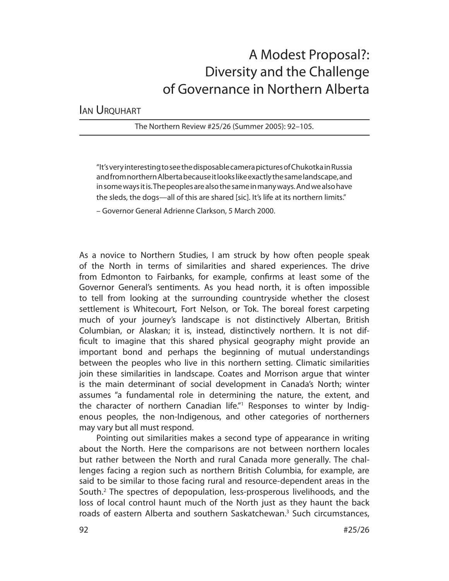# A Modest Proposal?: Diversity and the Challenge of Governance in Northern Alberta

IAN URQUHART

The Northern Review #25/26 (Summer 2005): 92–105.

"It's very interesting to see the disposable camera pictures of Chukotka in Russia and from northern Alberta because it looks like exactly the same landscape, and in some ways it is. The peoples are also the same in many ways. And we also have the sleds, the dogs—all of this are shared [sic]. It's life at its northern limits."

– Governor General Adrienne Clarkson, 5 March 2000.

As a novice to Northern Studies, I am struck by how often people speak of the North in terms of similarities and shared experiences. The drive from Edmonton to Fairbanks, for example, confirms at least some of the Governor General's sentiments. As you head north, it is often impossible to tell from looking at the surrounding countryside whether the closest settlement is Whitecourt, Fort Nelson, or Tok. The boreal forest carpeting much of your journey's landscape is not distinctively Albertan, British Columbian, or Alaskan; it is, instead, distinctively northern. It is not difficult to imagine that this shared physical geography might provide an important bond and perhaps the beginning of mutual understandings between the peoples who live in this northern setting. Climatic similarities join these similarities in landscape. Coates and Morrison argue that winter is the main determinant of social development in Canada's North; winter assumes "a fundamental role in determining the nature, the extent, and the character of northern Canadian life."<sup>1</sup> Responses to winter by Indigenous peoples, the non-Indigenous, and other categories of northerners may vary but all must respond.

Pointing out similarities makes a second type of appearance in writing about the North. Here the comparisons are not between northern locales but rather between the North and rural Canada more generally. The challenges facing a region such as northern British Columbia, for example, are said to be similar to those facing rural and resource-dependent areas in the South.<sup>2</sup> The spectres of depopulation, less-prosperous livelihoods, and the loss of local control haunt much of the North just as they haunt the back roads of eastern Alberta and southern Saskatchewan.<sup>3</sup> Such circumstances,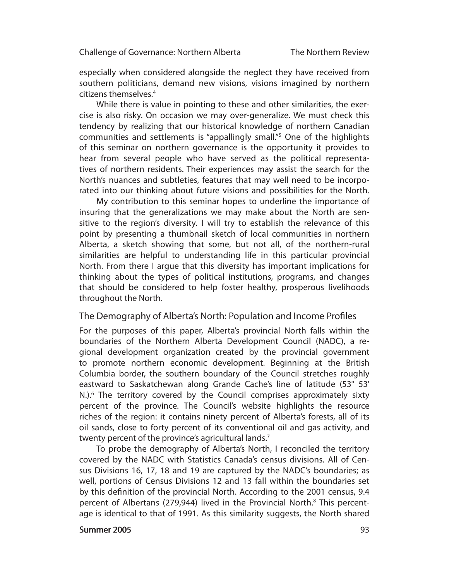especially when considered alongside the neglect they have received from southern politicians, demand new visions, visions imagined by northern citizens themselves.<sup>4</sup>

While there is value in pointing to these and other similarities, the exercise is also risky. On occasion we may over-generalize. We must check this tendency by realizing that our historical knowledge of northern Canadian communities and settlements is "appallingly small."5 One of the highlights of this seminar on northern governance is the opportunity it provides to hear from several people who have served as the political representatives of northern residents. Their experiences may assist the search for the North's nuances and subtleties, features that may well need to be incorporated into our thinking about future visions and possibilities for the North.

My contribution to this seminar hopes to underline the importance of insuring that the generalizations we may make about the North are sensitive to the region's diversity. I will try to establish the relevance of this point by presenting a thumbnail sketch of local communities in northern Alberta, a sketch showing that some, but not all, of the northern-rural similarities are helpful to understanding life in this particular provincial North. From there I argue that this diversity has important implications for thinking about the types of political institutions, programs, and changes that should be considered to help foster healthy, prosperous livelihoods throughout the North.

## The Demography of Alberta's North: Population and Income Profiles

For the purposes of this paper, Alberta's provincial North falls within the boundaries of the Northern Alberta Development Council (NADC), a regional development organization created by the provincial government to promote northern economic development. Beginning at the British Columbia border, the southern boundary of the Council stretches roughly eastward to Saskatchewan along Grande Cache's line of latitude (53° 53' N.).<sup>6</sup> The territory covered by the Council comprises approximately sixty percent of the province. The Council's website highlights the resource riches of the region: it contains ninety percent of Alberta's forests, all of its oil sands, close to forty percent of its conventional oil and gas activity, and twenty percent of the province's agricultural lands.<sup>7</sup>

To probe the demography of Alberta's North, I reconciled the territory covered by the NADC with Statistics Canada's census divisions. All of Census Divisions 16, 17, 18 and 19 are captured by the NADC's boundaries; as well, portions of Census Divisions 12 and 13 fall within the boundaries set by this definition of the provincial North. According to the 2001 census, 9.4 percent of Albertans (279,944) lived in the Provincial North.<sup>8</sup> This percentage is identical to that of 1991. As this similarity suggests, the North shared

#### Summer 2005 **93**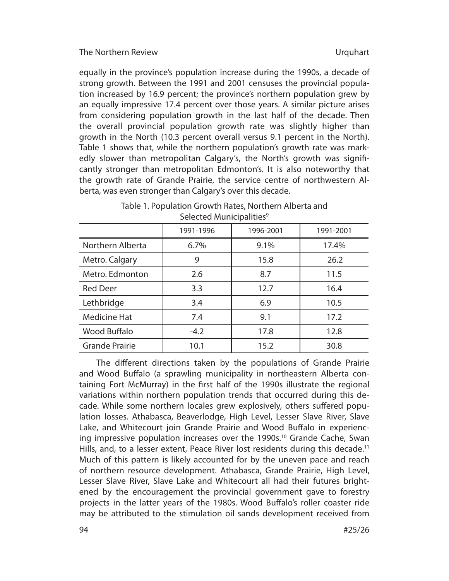equally in the province's population increase during the 1990s, a decade of strong growth. Between the 1991 and 2001 censuses the provincial population increased by 16.9 percent; the province's northern population grew by an equally impressive 17.4 percent over those years. A similar picture arises from considering population growth in the last half of the decade. Then the overall provincial population growth rate was slightly higher than growth in the North (10.3 percent overall versus 9.1 percent in the North). Table 1 shows that, while the northern population's growth rate was markedly slower than metropolitan Calgary's, the North's growth was significantly stronger than metropolitan Edmonton's. It is also noteworthy that the growth rate of Grande Prairie, the service centre of northwestern Alberta, was even stronger than Calgary's over this decade.

| Selected Municipalities |           |           |           |
|-------------------------|-----------|-----------|-----------|
|                         | 1991-1996 | 1996-2001 | 1991-2001 |
| Northern Alberta        | 6.7%      | 9.1%      | 17.4%     |
| Metro. Calgary          | 9         | 15.8      | 26.2      |
| Metro. Edmonton         | 2.6       | 8.7       | 11.5      |
| <b>Red Deer</b>         | 3.3       | 12.7      | 16.4      |
| Lethbridge              | 3.4       | 6.9       | 10.5      |
|                         |           |           |           |

Medicine Hat  $\begin{array}{|c|c|c|c|c|c|c|c|c|} \hline \text{Maclicine Hat} & & 7.4 & & 9.1 & & 17.2 \\ \hline \end{array}$ Wood Buff alo -4.2 17.8 12.8 Grande Prairie 10.1 15.2 30.8

## Table 1. Population Growth Rates, Northern Alberta and Selected Municipalities<sup>9</sup>

The different directions taken by the populations of Grande Prairie and Wood Buffalo (a sprawling municipality in northeastern Alberta containing Fort McMurray) in the first half of the 1990s illustrate the regional variations within northern population trends that occurred during this decade. While some northern locales grew explosively, others suffered population losses. Athabasca, Beaverlodge, High Level, Lesser Slave River, Slave Lake, and Whitecourt join Grande Prairie and Wood Buffalo in experiencing impressive population increases over the 1990s.<sup>10</sup> Grande Cache, Swan Hills, and, to a lesser extent, Peace River lost residents during this decade.<sup>11</sup> Much of this pattern is likely accounted for by the uneven pace and reach of northern resource development. Athabasca, Grande Prairie, High Level, Lesser Slave River, Slave Lake and Whitecourt all had their futures brightened by the encouragement the provincial government gave to forestry projects in the latter years of the 1980s. Wood Buffalo's roller coaster ride may be attributed to the stimulation oil sands development received from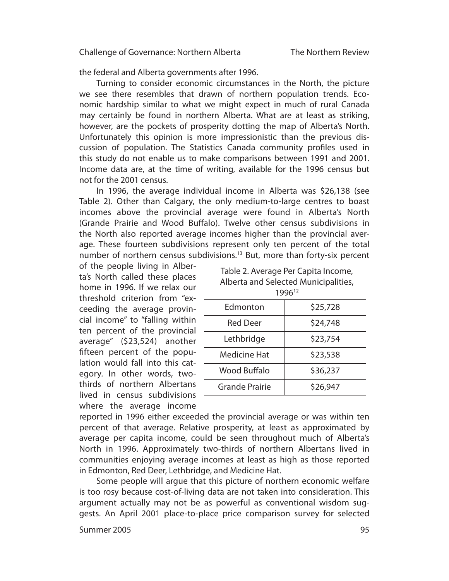the federal and Alberta governments after 1996.

Turning to consider economic circumstances in the North, the picture we see there resembles that drawn of northern population trends. Economic hardship similar to what we might expect in much of rural Canada may certainly be found in northern Alberta. What are at least as striking, however, are the pockets of prosperity dotting the map of Alberta's North. Unfortunately this opinion is more impressionistic than the previous discussion of population. The Statistics Canada community profiles used in this study do not enable us to make comparisons between 1991 and 2001. Income data are, at the time of writing, available for the 1996 census but not for the 2001 census.

In 1996, the average individual income in Alberta was \$26,138 (see Table 2). Other than Calgary, the only medium-to-large centres to boast incomes above the provincial average were found in Alberta's North (Grande Prairie and Wood Buffalo). Twelve other census subdivisions in the North also reported average incomes higher than the provincial average. These fourteen subdivisions represent only ten percent of the total number of northern census subdivisions.<sup>13</sup> But, more than forty-six percent

of the people living in Alberta's North called these places home in 1996. If we relax our threshold criterion from "exceeding the average provincial income" to "falling within ten percent of the provincial average" (\$23,524) another fifteen percent of the population would fall into this cat- egory. In other words, twothirds of northern Albertans lived in census subdivisions where the average income

| Table 2. Average Per Capita Income,  |
|--------------------------------------|
| Alberta and Selected Municipalities, |
| 100 <sub>12</sub>                    |

| 0 אל                |          |  |  |
|---------------------|----------|--|--|
| Edmonton            | \$25,728 |  |  |
| <b>Red Deer</b>     | \$24,748 |  |  |
| Lethbridge          | \$23,754 |  |  |
| <b>Medicine Hat</b> | \$23,538 |  |  |
| Wood Buffalo        | \$36,237 |  |  |
| Grande Prairie      | \$26,947 |  |  |
|                     |          |  |  |

reported in 1996 either exceeded the provincial average or was within ten percent of that average. Relative prosperity, at least as approximated by average per capita income, could be seen throughout much of Alberta's North in 1996. Approximately two-thirds of northern Albertans lived in communities enjoying average incomes at least as high as those reported in Edmonton, Red Deer, Lethbridge, and Medicine Hat.

Some people will argue that this picture of northern economic welfare is too rosy because cost-of-living data are not taken into consideration. This argument actually may not be as powerful as conventional wisdom suggests. An April 2001 place-to-place price comparison survey for selected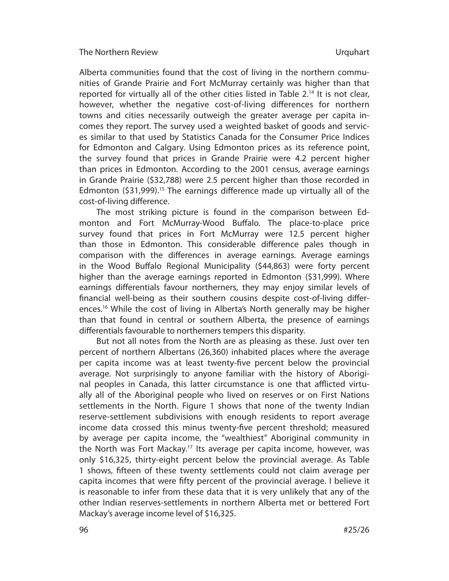Alberta communities found that the cost of living in the northern communities of Grande Prairie and Fort McMurray certainly was higher than that reported for virtually all of the other cities listed in Table  $2^{14}$  It is not clear, however, whether the negative cost-of-living differences for northern towns and cities necessarily outweigh the greater average per capita incomes they report. The survey used a weighted basket of goods and services similar to that used by Statistics Canada for the Consumer Price Indices for Edmonton and Calgary. Using Edmonton prices as its reference point, the survey found that prices in Grande Prairie were 4.2 percent higher than prices in Edmonton. According to the 2001 census, average earnings in Grande Prairie (\$32,788) were 2.5 percent higher than those recorded in Edmonton  $(531,999)$ <sup>15</sup> The earnings difference made up virtually all of the cost-of-living difference.

 The most striking picture is found in the comparison between Edmonton and Fort McMurray-Wood Buffalo. The place-to-place price survey found that prices in Fort McMurray were 12.5 percent higher than those in Edmonton. This considerable difference pales though in comparison with the differences in average earnings. Average earnings in the Wood Buffalo Regional Municipality (\$44,863) were forty percent higher than the average earnings reported in Edmonton (\$31,999). Where earnings differentials favour northerners, they may enjoy similar levels of financial well-being as their southern cousins despite cost-of-living differences.<sup>16</sup> While the cost of living in Alberta's North generally may be higher than that found in central or southern Alberta, the presence of earnings differentials favourable to northerners tempers this disparity.

But not all notes from the North are as pleasing as these. Just over ten percent of northern Albertans (26,360) inhabited places where the average per capita income was at least twenty-five percent below the provincial average. Not surprisingly to anyone familiar with the history of Aboriginal peoples in Canada, this latter circumstance is one that afflicted virtually all of the Aboriginal people who lived on reserves or on First Nations settlements in the North. Figure 1 shows that none of the twenty Indian reserve-settlement subdivisions with enough residents to report average income data crossed this minus twenty-five percent threshold; measured by average per capita income, the "wealthiest" Aboriginal community in the North was Fort Mackay.<sup>17</sup> Its average per capita income, however, was only \$16,325, thirty-eight percent below the provincial average. As Table 1 shows, fifteen of these twenty settlements could not claim average per capita incomes that were fifty percent of the provincial average. I believe it is reasonable to infer from these data that it is very unlikely that any of the other Indian reserves-settlements in northern Alberta met or bettered Fort Mackay's average income level of \$16,325.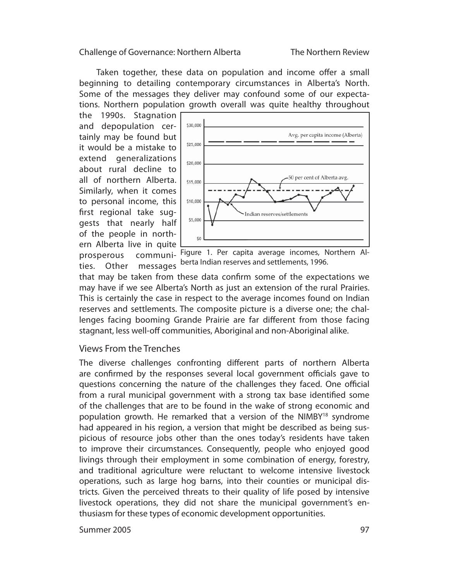Taken together, these data on population and income offer a small begin ning to detailing contemporary circumstances in Alberta's North. Some of the messages they deliver may confound some of our expectations. Northern population growth overall was quite healthy throughout

the 1990s. Stagnation and depopulation certainly may be found but it would be a mistake to extend generalizations about rural decline to all of northern Alberta. Similarly, when it comes to personal income, this first regional take suggests that nearly half of the people in northern Alberta live in quite prosperous ties. Other messages



communi- Figure 1. Per capita average incomes, Northern Alberta Indian reserves and settlements, 1996.

that may be taken from these data confirm some of the expectations we may have if we see Alberta's North as just an extension of the rural Prairies. This is certainly the case in respect to the average incomes found on Indian reserves and settlements. The composite picture is a diverse one; the challenges facing booming Grande Prairie are far different from those facing stagnant, less well-off communities, Aboriginal and non-Aboriginal alike.

# Views From the Trenches

The diverse challenges confronting different parts of northern Alberta are confirmed by the responses several local government officials gave to questions concerning the nature of the challenges they faced. One official from a rural municipal government with a strong tax base identified some of the challenges that are to be found in the wake of strong economic and population growth. He remarked that a version of the NIMBY<sup>18</sup> syndrome had appeared in his region, a version that might be described as being suspicious of resource jobs other than the ones today's residents have taken to improve their circumstances. Consequently, people who enjoyed good livings through their employment in some combination of energy, forestry, and traditional agriculture were reluctant to welcome intensive livestock operations, such as large hog barns, into their counties or municipal districts. Given the perceived threats to their quality of life posed by intensive livestock operations, they did not share the municipal government's enthusiasm for these types of economic development opportunities.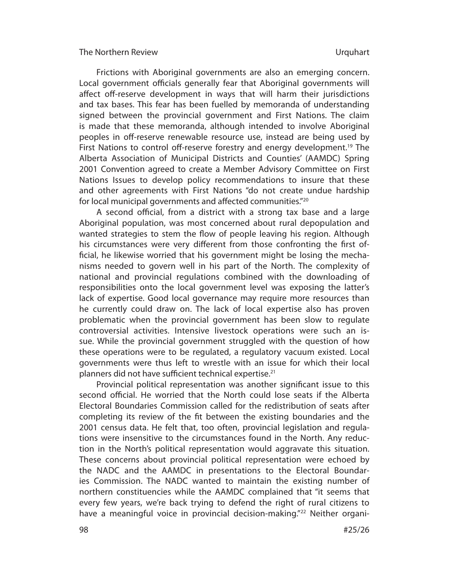Frictions with Aboriginal governments are also an emerging concern. Local government officials generally fear that Aboriginal governments will affect off-reserve development in ways that will harm their jurisdictions and tax bases. This fear has been fuelled by memoranda of understanding signed between the provincial government and First Nations. The claim is made that these memoranda, although intended to involve Aboriginal peoples in off-reserve renewable resource use, instead are being used by First Nations to control off-reserve forestry and energy development.<sup>19</sup> The Alberta Association of Municipal Districts and Counties' (AAMDC) Spring 2001 Convention agreed to create a Member Advisory Committee on First Nations Issues to develop policy recommendations to insure that these and other agreements with First Nations "do not create undue hardship for local municipal governments and affected communities." $20$ 

A second official, from a district with a strong tax base and a large Aboriginal population, was most concerned about rural depopulation and wanted strategies to stem the flow of people leaving his region. Although his circumstances were very different from those confronting the first official, he likewise worried that his government might be losing the mechanisms needed to govern well in his part of the North. The complexity of national and provincial regulations combined with the downloading of responsibilities onto the local government level was exposing the latter's lack of expertise. Good local governance may require more resources than he currently could draw on. The lack of local expertise also has proven problematic when the provincial government has been slow to regulate controversial activities. Intensive livestock operations were such an issue. While the provincial government struggled with the question of how these operations were to be regulated, a regulatory vacuum existed. Local governments were thus left to wrestle with an issue for which their local planners did not have sufficient technical expertise.<sup>21</sup>

Provincial political representation was another significant issue to this second official. He worried that the North could lose seats if the Alberta Elec toral Boundaries Commission called for the redistribution of seats after completing its review of the fit between the existing boundaries and the 2001 census data. He felt that, too often, provincial legislation and regulations were insensitive to the circumstances found in the North. Any reduction in the North's political representation would aggravate this situation. These concerns about provincial political representation were echoed by the NADC and the AAMDC in presentations to the Electoral Boundaries Commission. The NADC wanted to maintain the existing number of northern constituencies while the AAMDC complained that "it seems that every few years, we're back trying to defend the right of rural citizens to have a meaningful voice in provincial decision-making."<sup>22</sup> Neither organi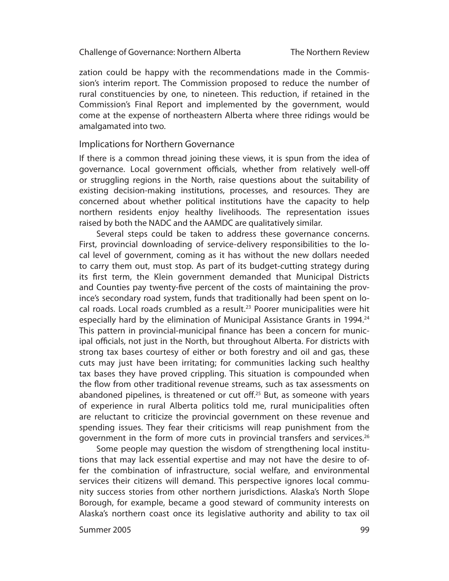zation could be happy with the recommendations made in the Commission's interim report. The Commission proposed to reduce the number of rural constituencies by one, to nineteen. This reduction, if retained in the Commission's Final Report and implemented by the government, would come at the expense of northeastern Alberta where three ridings would be amalgamated into two.

### Implications for Northern Governance

If there is a common thread joining these views, it is spun from the idea of governance. Local government officials, whether from relatively well-off or struggling regions in the North, raise questions about the suitability of existing decision-making institutions, processes, and resources. They are con cern ed about whether political institutions have the capacity to help northern residents enjoy healthy livelihoods. The representation issues raised by both the NADC and the AAMDC are qualitatively similar.

Several steps could be taken to address these governance concerns. First, provincial downloading of service-delivery responsibilities to the local level of government, coming as it has without the new dollars needed to carry them out, must stop. As part of its budget-cutting strategy during its first term, the Klein government demanded that Municipal Districts and Counties pay twenty-five percent of the costs of maintaining the province's secondary road system, funds that traditionally had been spent on local roads. Local roads crumbled as a result.<sup>23</sup> Poorer municipalities were hit especially hard by the elimination of Municipal Assistance Grants in 1994.<sup>24</sup> This pattern in provincial-municipal finance has been a concern for municipal officials, not just in the North, but throughout Alberta. For districts with strong tax bases courtesy of either or both forestry and oil and gas, these cuts may just have been irritating; for communities lacking such healthy tax bases they have proved crippling. This situation is compounded when the flow from other traditional revenue streams, such as tax assessments on abandoned pipelines, is threatened or cut off. $25$  But, as someone with years of experience in rural Alberta politics told me, rural municipalities often are reluctant to criticize the provincial government on these revenue and spending issues. They fear their criticisms will reap punishment from the government in the form of more cuts in provincial transfers and services.<sup>26</sup>

Some people may question the wisdom of strengthening local institutions that may lack essential expertise and may not have the desire to offer the combination of infrastructure, social welfare, and environmental services their citizens will demand. This perspective ignores local community success stories from other northern jurisdictions. Alaska's North Slope Borough, for example, became a good steward of community interests on Alaska's northern coast once its legislative authority and ability to tax oil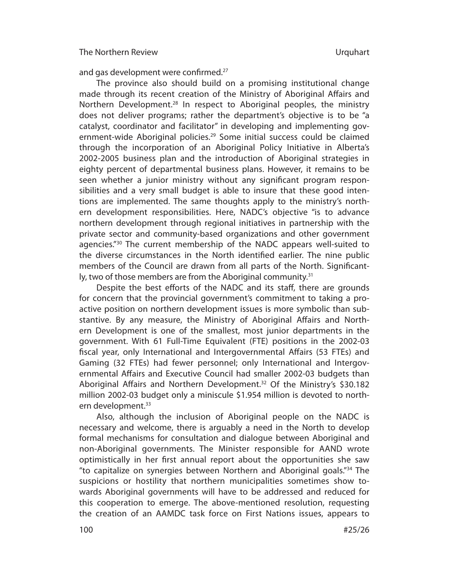and gas development were confirmed. $27$ 

The province also should build on a promising institutional change made through its recent creation of the Ministry of Aboriginal Affairs and Northern Development.<sup>28</sup> In respect to Aboriginal peoples, the ministry does not deliver programs; rather the department's objective is to be "a catalyst, coordinator and facilitator" in developing and implementing government-wide Aboriginal policies.<sup>29</sup> Some initial success could be claimed through the incorporation of an Aboriginal Policy Initiative in Alberta's 2002-2005 business plan and the introduction of Aboriginal strategies in eighty percent of departmental business plans. However, it remains to be seen whether a junior ministry without any significant program responsibilities and a very small budget is able to insure that these good intentions are implemented. The same thoughts apply to the ministry's northern development responsibilities. Here, NADC's objective "is to advance northern development through regional initiatives in partnership with the private sector and community-based organizations and other government agencies."<sup>30</sup> The current membership of the NADC appears well-suited to the diverse circumstances in the North identified earlier. The nine public members of the Council are drawn from all parts of the North. Significantly, two of those members are from the Aboriginal community.<sup>31</sup>

Despite the best efforts of the NADC and its staff, there are grounds for concern that the provincial government's commitment to taking a proactive position on northern development issues is more symbolic than substantive. By any measure, the Ministry of Aboriginal Affairs and Northern Development is one of the smallest, most junior departments in the govern ment. With 61 Full-Time Equivalent (FTE) positions in the 2002-03 fiscal year, only International and Intergovernmental Affairs (53 FTEs) and Gaming (32 FTEs) had fewer personnel; only International and Intergovernmental Affairs and Executive Council had smaller 2002-03 budgets than Aboriginal Affairs and Northern Development.<sup>32</sup> Of the Ministry's \$30.182 million 2002-03 budget only a miniscule \$1.954 million is devoted to northern development.<sup>33</sup>

Also, although the inclusion of Aboriginal people on the NADC is necessary and welcome, there is arguably a need in the North to develop formal mechanisms for consultation and dialogue between Aboriginal and non-Aboriginal governments. The Minister responsible for AAND wrote optimistically in her first annual report about the opportunities she saw "to capitalize on synergies between Northern and Aboriginal goals."34 The suspicions or hostility that northern municipalities sometimes show towards Aboriginal governments will have to be addressed and reduced for this cooperation to emerge. The above-mentioned resolution, requesting the creation of an AAMDC task force on First Nations issues, appears to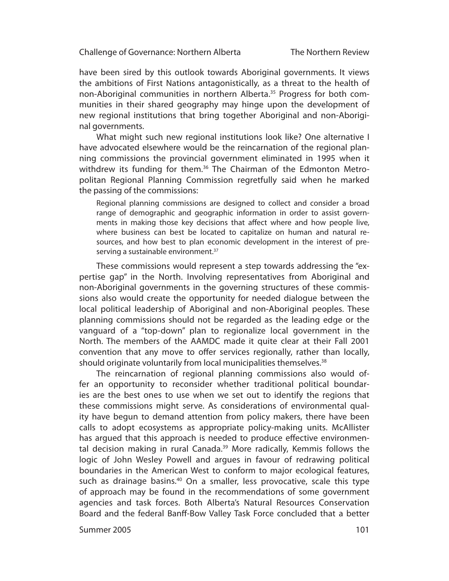The Northern Review

have been sired by this outlook towards Aboriginal governments. It views the ambitions of First Nations antagonistically, as a threat to the health of non-Aboriginal communities in northern Alberta.<sup>35</sup> Progress for both communities in their shared geography may hinge upon the development of new regional institutions that bring together Aboriginal and non-Aboriginal governments.

What might such new regional institutions look like? One alternative I have advocated elsewhere would be the reincarnation of the regional planning commissions the provincial government eliminated in 1995 when it withdrew its funding for them.<sup>36</sup> The Chairman of the Edmonton Metropolitan Regional Planning Commission regretfully said when he marked the passing of the commissions:

Regional planning commissions are designed to collect and consider a broad range of demographic and geographic information in order to assist governments in making those key decisions that affect where and how people live, where business can best be located to capitalize on human and natural resources, and how best to plan economic development in the interest of preserving a sustainable environment.<sup>37</sup>

These commissions would represent a step towards addressing the "expertise gap" in the North. Involving representatives from Aboriginal and non-Aboriginal governments in the governing structures of these commissions also would create the opportunity for needed dialogue between the local political leadership of Aboriginal and non-Aboriginal peoples. These planning commissions should not be regarded as the leading edge or the vanguard of a "top-down" plan to regionalize local government in the North. The members of the AAMDC made it quite clear at their Fall 2001 convention that any move to offer services regionally, rather than locally, should originate voluntarily from local municipalities themselves.<sup>38</sup>

The reincarnation of regional planning commissions also would offer an opportunity to reconsider whether traditional political boundaries are the best ones to use when we set out to identify the regions that these commissions might serve. As considerations of environmental quality have begun to demand attention from policy makers, there have been calls to adopt ecosystems as appropriate policy-making units. McAllister has argued that this approach is needed to produce effective environmental decision making in rural Canada.<sup>39</sup> More radically, Kemmis follows the logic of John Wesley Powell and argues in favour of redrawing political boundaries in the American West to conform to major ecological features, such as drainage basins.<sup>40</sup> On a smaller, less provocative, scale this type of approach may be found in the recommendations of some government agencies and task forces. Both Alberta's Natural Resources Conservation Board and the federal Banff -Bow Valley Task Force concluded that a better

Summer 2005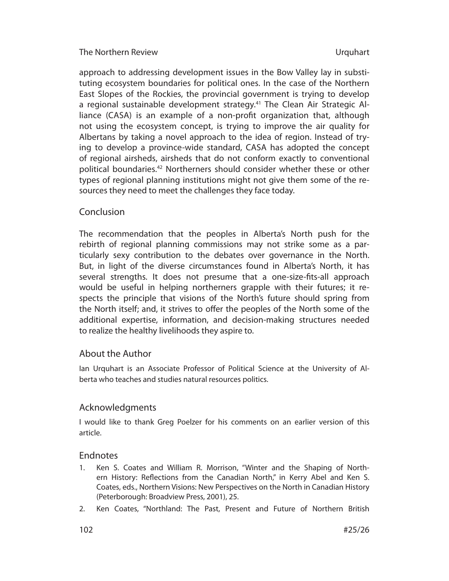approach to addressing development issues in the Bow Valley lay in substituting ecosystem boundaries for political ones. In the case of the Northern East Slopes of the Rockies, the provincial government is trying to develop a regional sustainable development strategy.<sup>41</sup> The Clean Air Strategic Alliance (CASA) is an example of a non-profit organization that, although not using the ecosystem concept, is trying to improve the air quality for Albertans by taking a novel approach to the idea of region. Instead of trying to develop a province-wide standard, CASA has adopted the concept of regional airsheds, airsheds that do not conform exactly to conventional political boundaries.<sup>42</sup> Northerners should consider whether these or other types of regional planning institutions might not give them some of the resources they need to meet the challenges they face today.

# Conclusion

The recommendation that the peoples in Alberta's North push for the rebirth of regional planning commissions may not strike some as a particularly sexy contribution to the debates over governance in the North. But, in light of the diverse circumstances found in Alberta's North, it has several strengths. It does not presume that a one-size-fits-all approach would be useful in helping northerners grapple with their futures; it respects the principle that visions of the North's future should spring from the North itself; and, it strives to offer the peoples of the North some of the additional expertise, information, and decision-making structures needed to realize the healthy livelihoods they aspire to.

# About the Author

Ian Urquhart is an Associate Professor of Political Science at the University of Alberta who teaches and studies natural resources politics.

# Acknowledgments

I would like to thank Greg Poelzer for his comments on an earlier version of this article.

# Endnotes

- 1. Ken S. Coates and William R. Morrison, "Winter and the Shaping of Northern History: Reflections from the Canadian North," in Kerry Abel and Ken S. Coates, eds., Northern Visions: New Perspectives on the North in Canadian History (Peterborough: Broadview Press, 2001), 25.
- 2. Ken Coates, "Northland: The Past, Present and Future of Northern British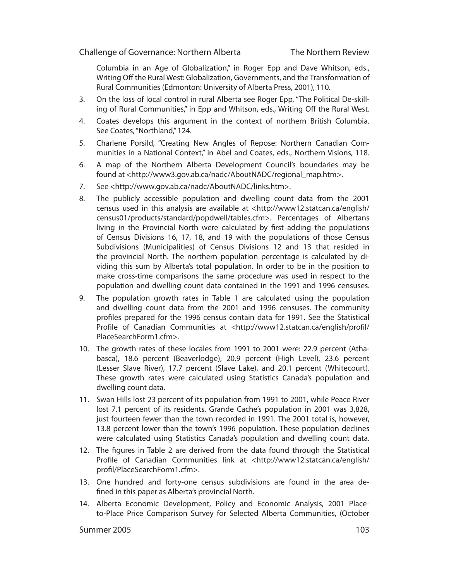Columbia in an Age of Globalization," in Roger Epp and Dave Whitson, eds., Writing Off the Rural West: Globalization, Governments, and the Transformation of Rural Communities (Edmonton: University of Alberta Press, 2001), 110.

- 3. On the loss of local control in rural Alberta see Roger Epp, "The Political De-skilling of Rural Communities," in Epp and Whitson, eds., Writing Off the Rural West.
- 4. Coates develops this argument in the context of northern British Columbia. See Coates, "Northland," 124.
- 5. Charlene Porsild, "Creating New Angles of Repose: Northern Canadian Communities in a National Context," in Abel and Coates, eds., Northern Visions, 118.
- 6. A map of the Northern Alberta Development Council's boundaries may be found at <http://www3.gov.ab.ca/nadc/AboutNADC/regional\_map.htm>.
- 7. See <http://www.gov.ab.ca/nadc/AboutNADC/links.htm>.
- 8. The publicly accessible population and dwelling count data from the 2001 census used in this analysis are available at <http://www12.statcan.ca/english/ census01/products/standard/popdwell/tables.cfm>. Percentages of Albertans living in the Provincial North were calculated by first adding the populations of Census Divisions 16, 17, 18, and 19 with the populations of those Census Subdivisions (Municipalities) of Census Divisions 12 and 13 that resided in the provincial North. The northern population percentage is calculated by dividing this sum by Alberta's total population. In order to be in the position to make cross-time comparisons the same procedure was used in respect to the population and dwelling count data contained in the 1991 and 1996 censuses.
- 9. The population growth rates in Table 1 are calculated using the population and dwelling count data from the 2001 and 1996 censuses. The community profiles prepared for the 1996 census contain data for 1991. See the Statistical Profile of Canadian Communities at <http://www12.statcan.ca/english/profil/ PlaceSearchForm1.cfm>.
- 10. The growth rates of these locales from 1991 to 2001 were: 22.9 percent (Athabasca), 18.6 percent (Beaverlodge), 20.9 percent (High Level), 23.6 percent (Lesser Slave River), 17.7 percent (Slave Lake), and 20.1 percent (Whitecourt). These growth rates were calculated using Statistics Canada's population and dwelling count data.
- 11. Swan Hills lost 23 percent of its population from 1991 to 2001, while Peace River lost 7.1 percent of its residents. Grande Cache's population in 2001 was 3,828, just fourteen fewer than the town recorded in 1991. The 2001 total is, however, 13.8 percent lower than the town's 1996 population. These population declines were calculated using Statistics Canada's population and dwelling count data.
- 12. The figures in Table 2 are derived from the data found through the Statistical Profile of Canadian Communities link at <http://www12.statcan.ca/english/ profil/PlaceSearchForm1.cfm>.
- 13. One hundred and forty-one census subdivisions are found in the area defined in this paper as Alberta's provincial North.
- 14. Alberta Economic Development, Policy and Economic Analysis, 2001 Placeto-Place Price Comparison Survey for Selected Alberta Communities, (October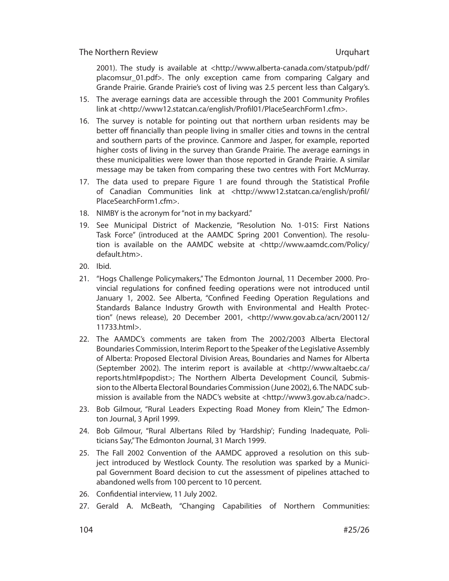2001). The study is available at <http://www.alberta-canada.com/statpub/pdf/ placomsur 01.pdf>. The only exception came from comparing Calgary and Grande Prairie. Grande Prairie's cost of living was 2.5 percent less than Calgary's.

- 15. The average earnings data are accessible through the 2001 Community Profiles link at <http://www12.statcan.ca/english/Profil01/PlaceSearchForm1.cfm>.
- 16. The survey is notable for pointing out that northern urban residents may be better off financially than people living in smaller cities and towns in the central and southern parts of the province. Canmore and Jasper, for example, reported higher costs of living in the survey than Grande Prairie. The average earnings in these municipalities were lower than those reported in Grande Prairie. A similar message may be taken from comparing these two centres with Fort McMurray.
- 17. The data used to prepare Figure 1 are found through the Statistical Profile of Canadian Communities link at <http://www12.statcan.ca/english/profil/ PlaceSearchForm1.cfm>.
- 18. NIMBY is the acronym for "not in my backyard."
- 19. See Municipal District of Mackenzie, "Resolution No. 1-01S: First Nations Task Force" (introduced at the AAMDC Spring 2001 Convention). The resolution is available on the AAMDC website at <http://www.aamdc.com/Policy/ default.htm>.
- 20. Ibid.
- 21. "Hogs Challenge Policymakers," The Edmonton Journal, 11 December 2000. Provincial regulations for confined feeding operations were not introduced until January 1, 2002. See Alberta, "Confined Feeding Operation Regulations and Standards Balance Industry Growth with Environmental and Health Protection" (news release), 20 December 2001, <http://www.gov.ab.ca/acn/200112/ 11733.html>.
- 22. The AAMDC's comments are taken from The 2002/2003 Alberta Electoral Boundaries Commission, Interim Report to the Speaker of the Legislative Assembly of Alberta: Proposed Electoral Division Areas, Boundaries and Names for Alberta (Sep tember 2002). The interim report is available at <http://www.altaebc.ca/ reports.html#popdist>; The Northern Alberta Development Council, Submission to the Alberta Electoral Boundaries Commission (June 2002), 6. The NADC submission is available from the NADC's website at <http://www3.gov.ab.ca/nadc>.
- 23. Bob Gilmour, "Rural Leaders Expecting Road Money from Klein," The Edmonton Journal, 3 April 1999.
- 24. Bob Gilmour, "Rural Albertans Riled by 'Hardship'; Funding Inadequate, Politicians Say," The Edmonton Journal, 31 March 1999.
- 25. The Fall 2002 Convention of the AAMDC approved a resolution on this subject introduced by Westlock County. The resolution was sparked by a Municipal Government Board decision to cut the assessment of pipelines attached to abandoned wells from 100 percent to 10 percent.
- 26. Confidential interview, 11 July 2002.
- 27. Gerald A. McBeath, "Changing Capabilities of Northern Communities: